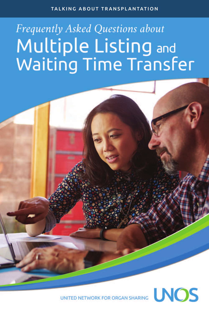#### TALKING ABOUT TRANSPLANTATION

# Frequently Asked Questions about Multiple Listing and<br>Waiting Time Transfer



UNITED NETWORK FOR ORGAN SHARING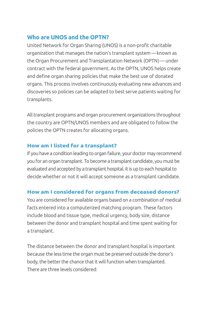# **Who are UNOS and the OPTN?**

United Network for Organ Sharing (UNOS) is a non-profit charitable organization that manages the nation's transplant system —known as the Organ Procurement and Transplantation Network (OPTN)— under contract with the federal government. As the OPTN, UNOS helps create and define organ sharing policies that make the best use of donated organs. This process involves continuously evaluating new advances and discoveries so policies can be adapted to best serve patients waiting for transplants.

All transplant programs and organ procurement organizations throughout the country are OPTN/UNOS members and are obligated to follow the policies the OPTN creates for allocating organs.

## **How am I listed for a transplant?**

If you have a condition leading to organ failure, your doctor may recommend you for an organ transplant. To become a transplant candidate, you must be evaluated and accepted by a transplant hospital. It is up to each hospital to decide whether or not it will accept someone as a transplant candidate.

## **How am I considered for organs from deceased donors?**

You are considered for available organs based on a combination of medical facts entered into a computerized matching program. These factors include blood and tissue type, medical urgency, body size, distance between the donor and transplant hospital and time spent waiting for a transplant.

The distance between the donor and transplant hospital is important because the less time the organ must be preserved outside the donor's body, the better the chance that it will function when transplanted. There are three levels considered: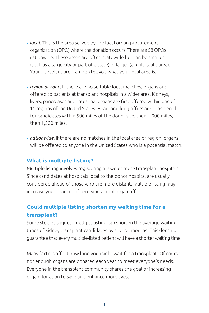- *local*. This is the area served by the local organ procurement organization (OPO) where the donation occurs. There are 58 OPOs nationwide. These areas are often statewide but can be smaller (such as a large city or part of a state) or larger (a multi-state area). Your transplant program can tell you what your local area is.
- *region or zone.* If there are no suitable local matches, organs are offered to patients at transplant hospitals in a wider area. Kidneys, livers, pancreases and intestinal organs are first offered within one of 11 regions of the United States. Heart and lung offers are considered for candidates within 500 miles of the donor site, then 1,000 miles, then 1,500 miles.
- *nationwide.* If there are no matches in the local area or region, organs will be offered to anyone in the United States who is a potential match.

#### **What is multiple listing?**

Multiple listing involves registering at two or more transplant hospitals. Since candidates at hospitals local to the donor hospital are usually considered ahead of those who are more distant, multiple listing may increase your chances of receiving a local organ offer.

## **Could multiple listing shorten my waiting time for a transplant?**

Some studies suggest multiple listing can shorten the average waiting times of kidney transplant candidates by several months. This does not guarantee that every multiple-listed patient will have a shorter waiting time.

Many factors affect how long you might wait for a transplant. Of course, not enough organs are donated each year to meet everyone's needs. Everyone in the transplant community shares the goal of increasing organ donation to save and enhance more lives.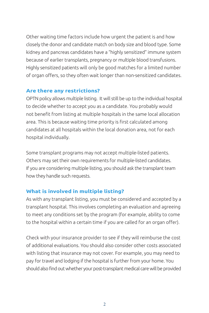Other waiting time factors include how urgent the patient is and how closely the donor and candidate match on body size and blood type. Some kidney and pancreas candidates have a "highly sensitized" immune system because of earlier transplants, pregnancy or multiple blood transfusions. Highly sensitized patients will only be good matches for a limited number of organ offers, so they often wait longer than non-sensitized candidates.

#### **Are there any restrictions?**

OPTN policy allows multiple listing. It will still be up to the individual hospital to decide whether to accept you as a candidate. You probably would not benefit from listing at multiple hospitals in the same local allocation area. This is because waiting time priority is first calculated among candidates at all hospitals within the local donation area, not for each hospital individually.

Some transplant programs may not accept multiple-listed patients. Others may set their own requirements for multiple-listed candidates. If you are considering multiple listing, you should ask the transplant team how they handle such requests.

## **What is involved in multiple listing?**

As with any transplant listing, you must be considered and accepted by a transplant hospital. This involves completing an evaluation and agreeing to meet any conditions set by the program (for example, ability to come to the hospital within a certain time if you are called for an organ offer).

Check with your insurance provider to see if they will reimburse the cost of additional evaluations. You should also consider other costs associated with listing that insurance may not cover. For example, you may need to pay for travel and lodging if the hospital is further from your home. You should also find outwhether your post-transplant medical carewill be provided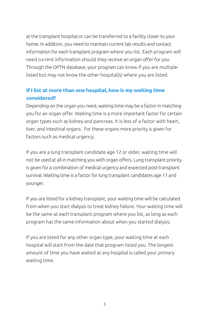at the transplant hospital or can be transferred to a facility closer to your home. In addition, you need to maintain current lab results and contact information for each transplant program where you list. Each program will need current information should they receive an organ offer for you. Through the OPTN database, your program can know if you are multiplelisted but may not know the other hospital(s) where you are listed.

## **If I list at more than one hospital, how is my waiting time considered?**

Depending on the organ you need, waiting time may be a factor in matching you for an organ offer. Waiting time is a more important factor for certain organ types such as kidney and pancreas. It is less of a factor with heart, liver, and intestinal organs. For these organs more priority is given for factors such as medical urgency.

If you are a lung transplant candidate age 12 or older, waiting time will not be used at all in matching you with organ offers. Lung transplant priority is given for a combination of medical urgency and expected post-transplant survival. Waiting time is a factor for lung transplant candidates age 11 and younger.

If you are listed for a kidney transplant, your waiting time will be calculated from when you start dialysis to treat kidney failure. Your waiting time will be the same at each transplant program where you list, as long as each program has the same information about when you started dialysis.

If you are listed for any other organ type, your waiting time at each hospital will start from the date that program listed you. The longest amount of time you have waited at any hospital is called your primary waiting time.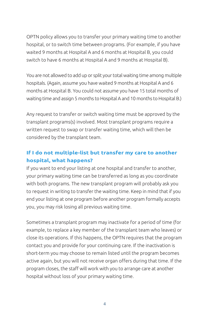OPTN policy allows you to transfer your primary waiting time to another hospital, or to switch time between programs. (For example, if you have waited 9 months at Hospital A and 6 months at Hospital B, you could switch to have 6 months at Hospital A and 9 months at Hospital B).

You are not allowed to add up or split your total waiting time among multiple hospitals. (Again, assume you have waited 9 months at Hospital A and 6 months at Hospital B. You could not assume you have 15 total months of waiting time and assign 5 months to Hospital A and 10 months to Hospital B.)

Any request to transfer or switch waiting time must be approved by the transplant programs(s) involved. Most transplant programs require a written request to swap or transfer waiting time, which will then be considered by the transplant team.

# **If I do not multiple-list but transfer my care to another hospital, what happens?**

If you want to end your listing at one hospital and transfer to another, your primary waiting time can be transferred as long as you coordinate with both programs. The new transplant program will probably ask you to request in writing to transfer the waiting time. Keep in mind that if you end your listing at one program before another program formally accepts you, you may risk losing all previous waiting time.

Sometimes a transplant program may inactivate for a period of time (for example, to replace a key member of the transplant team who leaves) or close its operations. If this happens, the OPTN requires that the program contact you and provide for your continuing care. If the inactivation is short-term you may choose to remain listed until the program becomes active again, but you will not receive organ offers during that time. If the program closes, the staff will work with you to arrange care at another hospital without loss of your primary waiting time.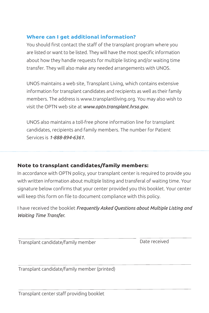### **Where can I get additional information?**

You should first contact the staff of the transplant program where you are listed or want to be listed. They will have the most specific information about how they handle requests for multiple listing and/or waiting time transfer. They will also make any needed arrangements with UNOS.

UNOS maintains a web site, Transplant Living, which contains extensive information for transplant candidates and recipients as well as their family members. The address is www.transplantliving.org. You may also wish to visit the OPTN web site at *www.optn.transplant.hrsa.gov.*

UNOS also maintains a toll-free phone information line for transplant candidates, recipients and family members. The number for Patient Services is *1-888-894-6361.*

## **Note to transplant candidates/family members:**

In accordance with OPTN policy, your transplant center is required to provide you with written information about multiple listing and transferal of waiting time. Your signature below confirms that your center provided you this booklet. Your center will keep this form on file to document compliance with this policy.

I have received the booklet *Frequently Asked Questions about Multiple Listing and Waiting Time Transfer.*

Transplant candidate/family member Date received

Transplant candidate/family member (printed)